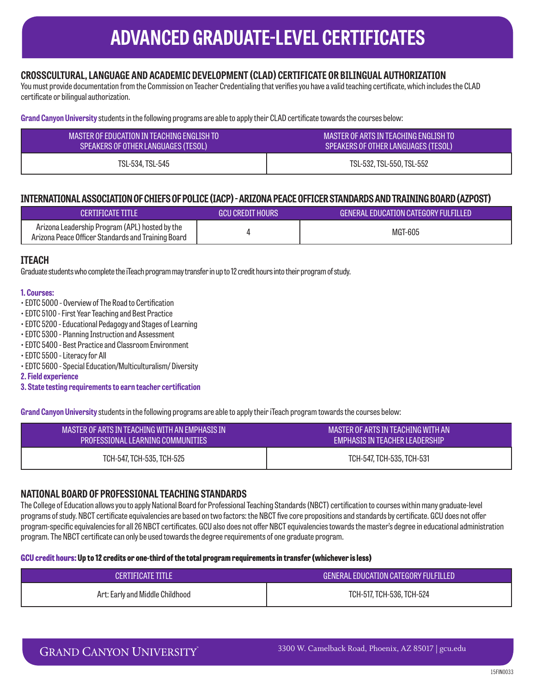## **ADVANCED GRADUATE-LEVEL CERTIFICATES**

## **CROSSCULTURAL, LANGUAGE AND ACADEMIC DEVELOPMENT (CLAD) CERTIFICATE OR BILINGUAL AUTHORIZATION**

You must provide documentation from the Commission on Teacher Credentialing that verifies you have a valid teaching certificate, which includes the CLAD certificate or bilingual authorization.

**Grand Canyon University** students in the following programs are able to apply their CLAD certificate towards the courses below:

| MASTER OF EDUCATION IN TEACHING ENGLISH TO | MASTER OF ARTS IN TEACHING ENGLISH TO |
|--------------------------------------------|---------------------------------------|
| SPEAKERS OF OTHER LANGUAGES (TESOL)        | SPEAKERS OF OTHER LANGUAGES (TESOL)   |
| TSL-534, TSL-545                           | TSL-532, TSL-550, TSL-552             |

## **INTERNATIONAL ASSOCIATION OF CHIEFS OF POLICE (IACP) - ARIZONA PEACE OFFICER STANDARDS AND TRAINING BOARD (AZPOST)**

| CERTIFICATE TITLE                                                                                    | <b>GCU CREDIT HOURS</b> | GENERAL EDUCATION CATEGORY FULFILLED |
|------------------------------------------------------------------------------------------------------|-------------------------|--------------------------------------|
| Arizona Leadership Program (APL) hosted by the<br>Arizona Peace Officer Standards and Training Board |                         | <b>MGT-605</b>                       |

### **ITEACH**

Graduate students who complete the iTeach program may transfer in up to 12 credit hours into their program of study.

#### **1. Courses:**

- EDTC 5000 Overview of The Road to Certification
- EDTC 5100 First Year Teaching and Best Practice
- EDTC 5200 Educational Pedagogy and Stages of Learning
- EDTC 5300 Planning Instruction and Assessment
- EDTC 5400 Best Practice and Classroom Environment
- EDTC 5500 Literacy for All
- EDTC 5600 Special Education/Multiculturalism/ Diversity
- **2. Field experience**

**3. State testing requirements to earn teacher certification**

**Grand Canyon University** students in the following programs are able to apply their iTeach program towards the courses below:

| MASTER OF ARTS IN TEACHING WITH AN EMPHASIS IN | MASTER OF ARTS IN TEACHING WITH AN |
|------------------------------------------------|------------------------------------|
| PROFESSIONAL LEARNING COMMUNITIES              | EMPHASIS IN TEACHER LEADERSHIP     |
| TCH-547. TCH-535. TCH-525                      | TCH-547, TCH-535, TCH-531          |

### **NATIONAL BOARD OF PROFESSIONAL TEACHING STANDARDS**

The College of Education allows you to apply National Board for Professional Teaching Standards (NBCT) certification to courses within many graduate-level programs of study. NBCT certificate equivalencies are based on two factors: the NBCT five core propositions and standards by certificate. GCU does not offer program-specific equivalencies for all 26 NBCT certificates. GCU also does not offer NBCT equivalencies towards the master's degree in educational administration program. The NBCT certificate can only be used towards the degree requirements of one graduate program.

#### **GCU credit hours: Up to 12 credits or one-third of the total program requirements in transfer (whichever is less)**

| CERTIFICATE TITLE               | GENERAL EDUCATION CATEGORY FULFILLED |  |
|---------------------------------|--------------------------------------|--|
| Art: Early and Middle Childhood | TCH-517, TCH-536, TCH-524            |  |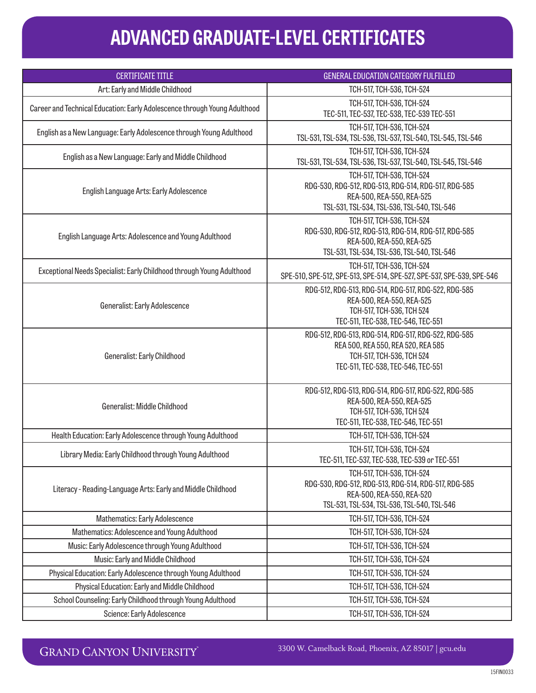# **ADVANCED GRADUATE-LEVEL CERTIFICATES**

| <b>CERTIFICATE TITLE</b>                                                  | <b>GENERAL EDUCATION CATEGORY FULFILLED</b>                                                                                                                   |  |
|---------------------------------------------------------------------------|---------------------------------------------------------------------------------------------------------------------------------------------------------------|--|
| Art: Early and Middle Childhood                                           | TCH-517, TCH-536, TCH-524                                                                                                                                     |  |
| Career and Technical Education: Early Adolescence through Young Adulthood | TCH-517, TCH-536, TCH-524<br>TEC-511, TEC-537, TEC-538, TEC-539 TEC-551                                                                                       |  |
| English as a New Language: Early Adolescence through Young Adulthood      | TCH-517, TCH-536, TCH-524<br>TSL-531, TSL-534, TSL-536, TSL-537, TSL-540, TSL-545, TSL-546                                                                    |  |
| English as a New Language: Early and Middle Childhood                     | TCH-517, TCH-536, TCH-524<br>TSL-531, TSL-534, TSL-536, TSL-537, TSL-540, TSL-545, TSL-546                                                                    |  |
| English Language Arts: Early Adolescence                                  | TCH-517, TCH-536, TCH-524<br>RDG-530, RDG-512, RDG-513, RDG-514, RDG-517, RDG-585<br>REA-500, REA-550, REA-525<br>TSL-531, TSL-534, TSL-536, TSL-540, TSL-546 |  |
| English Language Arts: Adolescence and Young Adulthood                    | TCH-517, TCH-536, TCH-524<br>RDG-530, RDG-512, RDG-513, RDG-514, RDG-517, RDG-585<br>REA-500, REA-550, REA-525<br>TSL-531, TSL-534, TSL-536, TSL-540, TSL-546 |  |
| Exceptional Needs Specialist: Early Childhood through Young Adulthood     | TCH-517, TCH-536, TCH-524<br>SPE-510, SPE-512, SPE-513, SPE-514, SPE-527, SPE-537, SPE-539, SPE-546                                                           |  |
| Generalist: Early Adolescence                                             | RDG-512, RDG-513, RDG-514, RDG-517, RDG-522, RDG-585<br>REA-500, REA-550, REA-525<br>TCH-517, TCH-536, TCH 524<br>TEC-511, TEC-538, TEC-546, TEC-551          |  |
| Generalist: Early Childhood                                               | RDG-512, RDG-513, RDG-514, RDG-517, RDG-522, RDG-585<br>REA 500, REA 550, REA 520, REA 585<br>TCH-517, TCH-536, TCH 524<br>TEC-511, TEC-538, TEC-546, TEC-551 |  |
| Generalist: Middle Childhood                                              | RDG-512, RDG-513, RDG-514, RDG-517, RDG-522, RDG-585<br>REA-500, REA-550, REA-525<br>TCH-517, TCH-536, TCH 524<br>TEC-511, TEC-538, TEC-546, TEC-551          |  |
| Health Education: Early Adolescence through Young Adulthood               | TCH-517, TCH-536, TCH-524                                                                                                                                     |  |
| Library Media: Early Childhood through Young Adulthood                    | TCH-517, TCH-536, TCH-524<br>TEC-511, TEC-537, TEC-538, TEC-539 or TEC-551                                                                                    |  |
| Literacy - Reading-Language Arts: Early and Middle Childhood              | TCH-517, TCH-536, TCH-524<br>RDG-530, RDG-512, RDG-513, RDG-514, RDG-517, RDG-585<br>REA-500, REA-550, REA-520<br>TSL-531, TSL-534, TSL-536, TSL-540, TSL-546 |  |
| Mathematics: Early Adolescence                                            | TCH-517, TCH-536, TCH-524                                                                                                                                     |  |
| Mathematics: Adolescence and Young Adulthood                              | TCH-517, TCH-536, TCH-524                                                                                                                                     |  |
| Music: Early Adolescence through Young Adulthood                          | TCH-517, TCH-536, TCH-524                                                                                                                                     |  |
| Music: Early and Middle Childhood                                         | TCH-517, TCH-536, TCH-524                                                                                                                                     |  |
| Physical Education: Early Adolescence through Young Adulthood             | TCH-517, TCH-536, TCH-524                                                                                                                                     |  |
| Physical Education: Early and Middle Childhood                            | TCH-517, TCH-536, TCH-524                                                                                                                                     |  |
| School Counseling: Early Childhood through Young Adulthood                | TCH-517, TCH-536, TCH-524                                                                                                                                     |  |
| Science: Early Adolescence                                                | TCH-517, TCH-536, TCH-524                                                                                                                                     |  |